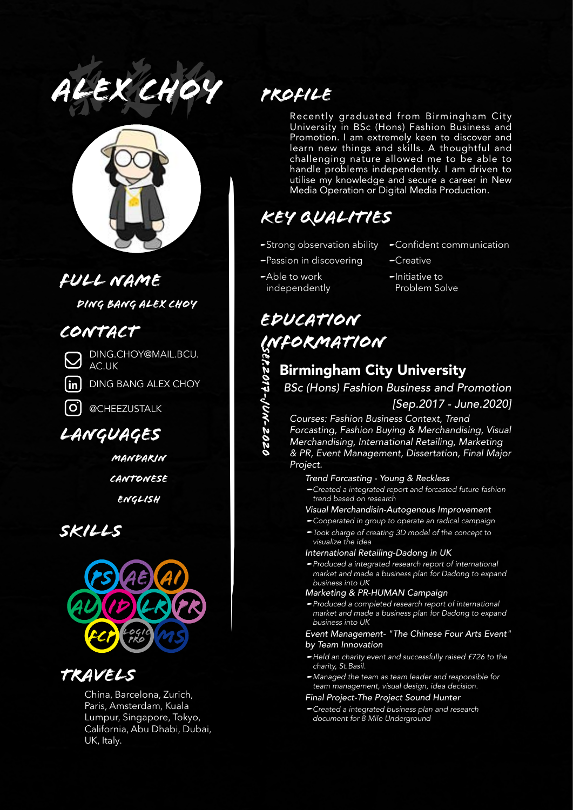*alex choy* 蔡定邦



## *Full name*

*Ding Bang Alex Choy*

## *Contact*

DING.CHOY@MAIL.BCU. AC.UK

DING BANG ALEX CHOY

*—*



**in**

@CHEEZUSTALK

## *Languages*

*Mandarin Cantonese English*

*Skills*



# *Travels*

China, Barcelona, Zurich, Paris, Amsterdam, Kuala Lumpur, Singapore, Tokyo, California, Abu Dhabi, Dubai, UK, Italy.

# *Profile*

Recently graduated from Birmingham City University in BSc (Hons) Fashion Business and Promotion. I am extremely keen to discover and learn new things and skills. A thoughtful and challenging nature allowed me to be able to handle problems independently. I am driven to utilise my knowledge and secure a career in New Media Operation or Digital Media Production.

# *Key Qualities*

- -Strong observation ability
- -Passion in discovering Creative
- Able to work *-*  independently
- -Confident communication
- 
- -Initiative to Problem Solve

# *Education*  **INFORMATION<br>
Sirmingham City**<br>
BSc (Hons) Fashion B<br>
SSC (Hons) Fashion Busing<br>
Courses: Fashion Busing<br>
Forcasting, Fashion Buy<br>
Merchandising, Internation<br>
& PR, Event Manageme *Sep.2017-Jun-2020*

## Birmingham City University

*BSc (Hons) Fashion Business and Promotion*

## *[Sep.2017 - June.2020]*

*Courses: Fashion Business Context, Trend Forcasting, Fashion Buying & Merchandising, Visual* 

*Merchandising, International Retailing, Marketing & PR, Event Management, Dissertation, Final Major Project.*

#### *Trend Forcasting - Young & Reckless*

*Created a integrated report and forcasted future fashion trend based on research*

*Visual Merchandisin-Autogenous Improvement*

- *Cooperated in group to operate an radical campaign -* -Took charge of creating 3D model of the concept to
- *visualize the idea*

#### *International Retailing-Dadong in UK*

*Produced a integrated research report of international market and made a business plan for Dadong to expand business into UK*

#### *Marketing & PR-HUMAN Campaign*

*Produced a completed research report of international market and made a business plan for Dadong to expand business into UK*

*Event Management- "The Chinese Four Arts Event" by Team Innovation*

- -Held an charity event and successfully raised £726 to the *charity, St.Basil.*
- *Managed the team as team leader and responsible for team management, visual design, idea decision.*

#### *Final Project-The Project Sound Hunter*

*Created a integrated business plan and research document for 8 Mile Underground*